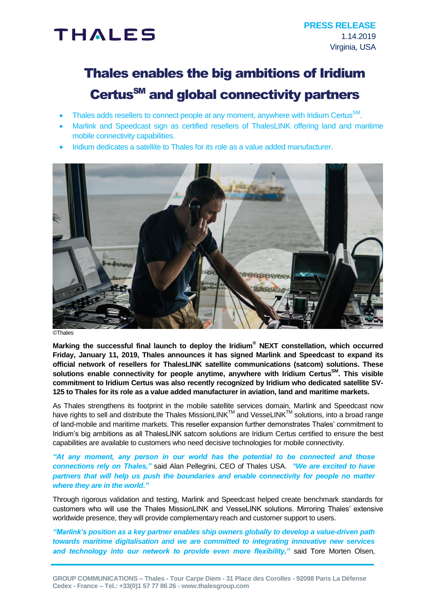# **THALES**

## Thales enables the big ambitions of Iridium Certus<sup>SM</sup> and global connectivity partners

- Thales adds resellers to connect people at any moment, anywhere with Iridium Certus $\text{SM}$ .
- Marlink and Speedcast sign as certified resellers of ThalesLINK offering land and maritime mobile connectivity capabilities.
- Iridium dedicates a satellite to Thales for its role as a value added manufacturer.



©Thales

**Marking the successful final launch to deploy the Iridium® NEXT constellation, which occurred Friday, January 11, 2019, Thales announces it has signed Marlink and Speedcast to expand its official network of resellers for ThalesLINK satellite communications (satcom) solutions. These solutions enable connectivity for people anytime, anywhere with Iridium CertusSM . This visible commitment to Iridium Certus was also recently recognized by Iridium who dedicated satellite SV-125 to Thales for its role as a value added manufacturer in aviation, land and maritime markets.**

As Thales strengthens its footprint in the mobile satellite services domain, Marlink and Speedcast now have rights to sell and distribute the Thales MissionLINK™ and VesseLINK™ solutions, into a broad range of land-mobile and maritime markets. This reseller expansion further demonstrates Thales' commitment to Iridium's big ambitions as all ThalesLINK satcom solutions are Iridium Certus certified to ensure the best capabilities are available to customers who need decisive technologies for mobile connectivity.

*"At any moment, any person in our world has the potential to be connected and those connections rely on Thales,"* said Alan Pellegrini, CEO of Thales USA. *"We are excited to have partners that will help us push the boundaries and enable connectivity for people no matter where they are in the world."*

Through rigorous validation and testing, Marlink and Speedcast helped create benchmark standards for customers who will use the Thales MissionLINK and VesseLINK solutions. Mirroring Thales' extensive worldwide presence, they will provide complementary reach and customer support to users.

*"Marlink's position as a key partner enables ship owners globally to develop a value-driven path towards maritime digitalisation and we are committed to integrating innovative new services*  and technology into our network to provide even more flexibility," said Tore Morten Olsen,

**GROUP COMMUNICATIONS – Thales - Tour Carpe Diem - 31 Place des Corolles - 92098 Paris La Défense Cedex - France – Tel.: +33(0)1 57 77 86 26 - www.thalesgroup.com**